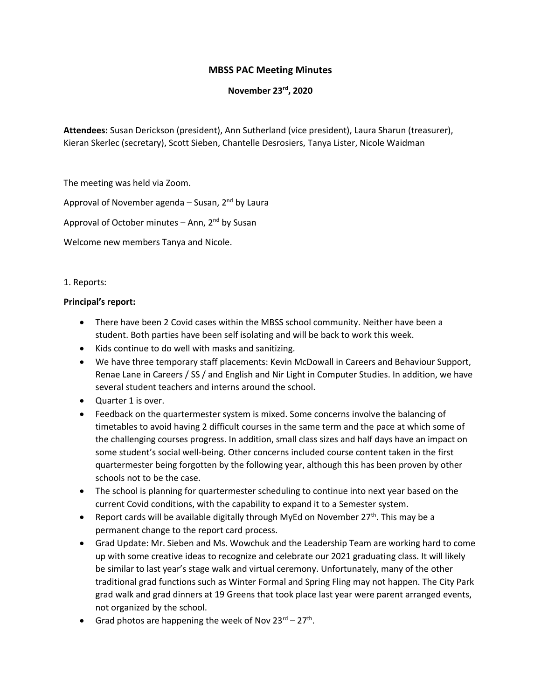# **MBSS PAC Meeting Minutes**

**November 23rd, 2020**

**Attendees:** Susan Derickson (president), Ann Sutherland (vice president), Laura Sharun (treasurer), Kieran Skerlec (secretary), Scott Sieben, Chantelle Desrosiers, Tanya Lister, Nicole Waidman

The meeting was held via Zoom.

Approval of November agenda - Susan, 2<sup>nd</sup> by Laura

Approval of October minutes – Ann,  $2^{nd}$  by Susan

Welcome new members Tanya and Nicole.

1. Reports:

#### **Principal's report:**

- There have been 2 Covid cases within the MBSS school community. Neither have been a student. Both parties have been self isolating and will be back to work this week.
- Kids continue to do well with masks and sanitizing.
- We have three temporary staff placements: Kevin McDowall in Careers and Behaviour Support, Renae Lane in Careers / SS / and English and Nir Light in Computer Studies. In addition, we have several student teachers and interns around the school.
- Quarter 1 is over.
- Feedback on the quartermester system is mixed. Some concerns involve the balancing of timetables to avoid having 2 difficult courses in the same term and the pace at which some of the challenging courses progress. In addition, small class sizes and half days have an impact on some student's social well-being. Other concerns included course content taken in the first quartermester being forgotten by the following year, although this has been proven by other schools not to be the case.
- The school is planning for quartermester scheduling to continue into next year based on the current Covid conditions, with the capability to expand it to a Semester system.
- Report cards will be available digitally through MyEd on November  $27<sup>th</sup>$ . This may be a permanent change to the report card process.
- Grad Update: Mr. Sieben and Ms. Wowchuk and the Leadership Team are working hard to come up with some creative ideas to recognize and celebrate our 2021 graduating class. It will likely be similar to last year's stage walk and virtual ceremony. Unfortunately, many of the other traditional grad functions such as Winter Formal and Spring Fling may not happen. The City Park grad walk and grad dinners at 19 Greens that took place last year were parent arranged events, not organized by the school.
- Grad photos are happening the week of Nov  $23^{rd} 27^{th}$ .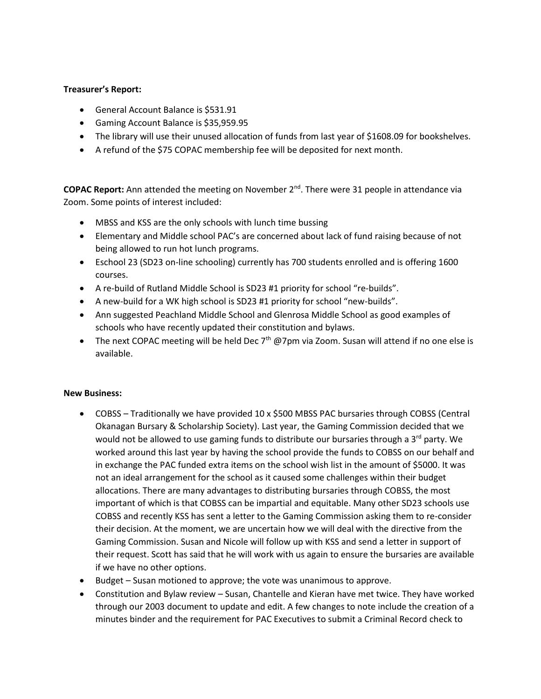## **Treasurer's Report:**

- General Account Balance is \$531.91
- Gaming Account Balance is \$35,959.95
- The library will use their unused allocation of funds from last year of \$1608.09 for bookshelves.
- A refund of the \$75 COPAC membership fee will be deposited for next month.

**COPAC Report:** Ann attended the meeting on November 2<sup>nd</sup>. There were 31 people in attendance via Zoom. Some points of interest included:

- MBSS and KSS are the only schools with lunch time bussing
- Elementary and Middle school PAC's are concerned about lack of fund raising because of not being allowed to run hot lunch programs.
- Eschool 23 (SD23 on-line schooling) currently has 700 students enrolled and is offering 1600 courses.
- A re-build of Rutland Middle School is SD23 #1 priority for school "re-builds".
- A new-build for a WK high school is SD23 #1 priority for school "new-builds".
- Ann suggested Peachland Middle School and Glenrosa Middle School as good examples of schools who have recently updated their constitution and bylaws.
- The next COPAC meeting will be held Dec  $7<sup>th</sup>$  @7pm via Zoom. Susan will attend if no one else is available.

#### **New Business:**

- COBSS Traditionally we have provided 10 x \$500 MBSS PAC bursaries through COBSS (Central Okanagan Bursary & Scholarship Society). Last year, the Gaming Commission decided that we would not be allowed to use gaming funds to distribute our bursaries through a  $3<sup>rd</sup>$  party. We worked around this last year by having the school provide the funds to COBSS on our behalf and in exchange the PAC funded extra items on the school wish list in the amount of \$5000. It was not an ideal arrangement for the school as it caused some challenges within their budget allocations. There are many advantages to distributing bursaries through COBSS, the most important of which is that COBSS can be impartial and equitable. Many other SD23 schools use COBSS and recently KSS has sent a letter to the Gaming Commission asking them to re-consider their decision. At the moment, we are uncertain how we will deal with the directive from the Gaming Commission. Susan and Nicole will follow up with KSS and send a letter in support of their request. Scott has said that he will work with us again to ensure the bursaries are available if we have no other options.
- Budget Susan motioned to approve; the vote was unanimous to approve.
- Constitution and Bylaw review Susan, Chantelle and Kieran have met twice. They have worked through our 2003 document to update and edit. A few changes to note include the creation of a minutes binder and the requirement for PAC Executives to submit a Criminal Record check to